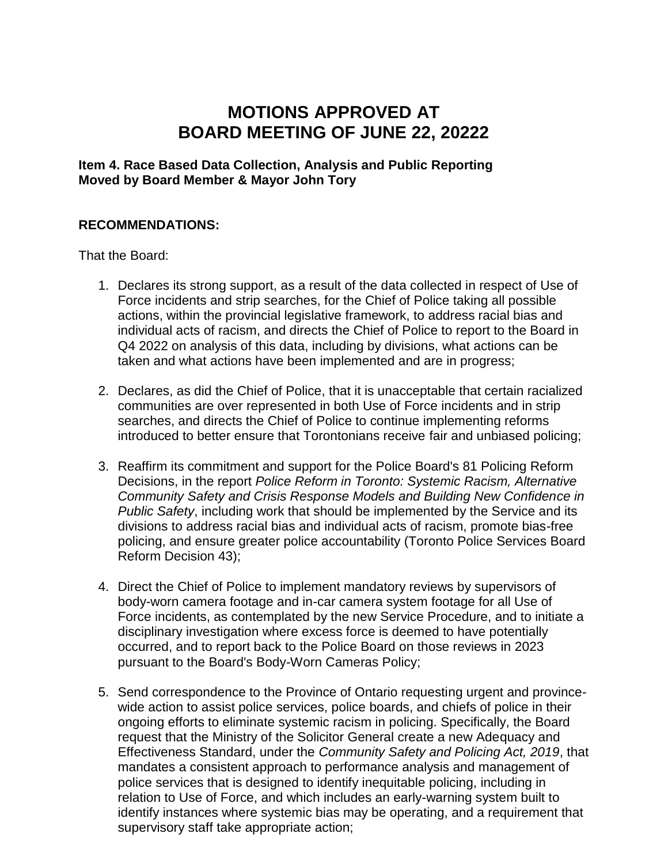# **MOTIONS APPROVED AT BOARD MEETING OF JUNE 22, 20222**

**Item 4. Race Based Data Collection, Analysis and Public Reporting Moved by Board Member & Mayor John Tory**

#### **RECOMMENDATIONS:**

That the Board:

- 1. Declares its strong support, as a result of the data collected in respect of Use of Force incidents and strip searches, for the Chief of Police taking all possible actions, within the provincial legislative framework, to address racial bias and individual acts of racism, and directs the Chief of Police to report to the Board in Q4 2022 on analysis of this data, including by divisions, what actions can be taken and what actions have been implemented and are in progress;
- 2. Declares, as did the Chief of Police, that it is unacceptable that certain racialized communities are over represented in both Use of Force incidents and in strip searches, and directs the Chief of Police to continue implementing reforms introduced to better ensure that Torontonians receive fair and unbiased policing;
- 3. Reaffirm its commitment and support for the Police Board's 81 Policing Reform Decisions, in the report *Police Reform in Toronto: Systemic Racism, Alternative Community Safety and Crisis Response Models and Building New Confidence in Public Safety*, including work that should be implemented by the Service and its divisions to address racial bias and individual acts of racism, promote bias-free policing, and ensure greater police accountability (Toronto Police Services Board Reform Decision 43);
- 4. Direct the Chief of Police to implement mandatory reviews by supervisors of body-worn camera footage and in-car camera system footage for all Use of Force incidents, as contemplated by the new Service Procedure, and to initiate a disciplinary investigation where excess force is deemed to have potentially occurred, and to report back to the Police Board on those reviews in 2023 pursuant to the Board's Body-Worn Cameras Policy;
- 5. Send correspondence to the Province of Ontario requesting urgent and provincewide action to assist police services, police boards, and chiefs of police in their ongoing efforts to eliminate systemic racism in policing. Specifically, the Board request that the Ministry of the Solicitor General create a new Adequacy and Effectiveness Standard, under the *Community Safety and Policing Act, 2019*, that mandates a consistent approach to performance analysis and management of police services that is designed to identify inequitable policing, including in relation to Use of Force, and which includes an early-warning system built to identify instances where systemic bias may be operating, and a requirement that supervisory staff take appropriate action;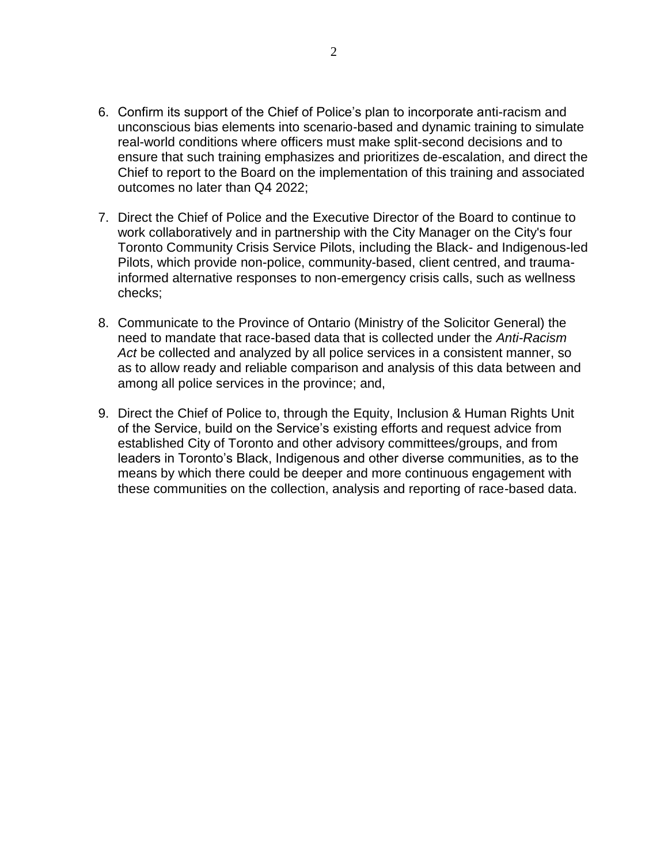- 6. Confirm its support of the Chief of Police's plan to incorporate anti-racism and unconscious bias elements into scenario-based and dynamic training to simulate real-world conditions where officers must make split-second decisions and to ensure that such training emphasizes and prioritizes de-escalation, and direct the Chief to report to the Board on the implementation of this training and associated outcomes no later than Q4 2022;
- 7. Direct the Chief of Police and the Executive Director of the Board to continue to work collaboratively and in partnership with the City Manager on the City's four Toronto Community Crisis Service Pilots, including the Black- and Indigenous-led Pilots, which provide non-police, community-based, client centred, and traumainformed alternative responses to non-emergency crisis calls, such as wellness checks;
- 8. Communicate to the Province of Ontario (Ministry of the Solicitor General) the need to mandate that race-based data that is collected under the *Anti-Racism Act* be collected and analyzed by all police services in a consistent manner, so as to allow ready and reliable comparison and analysis of this data between and among all police services in the province; and,
- 9. Direct the Chief of Police to, through the Equity, Inclusion & Human Rights Unit of the Service, build on the Service's existing efforts and request advice from established City of Toronto and other advisory committees/groups, and from leaders in Toronto's Black, Indigenous and other diverse communities, as to the means by which there could be deeper and more continuous engagement with these communities on the collection, analysis and reporting of race-based data.